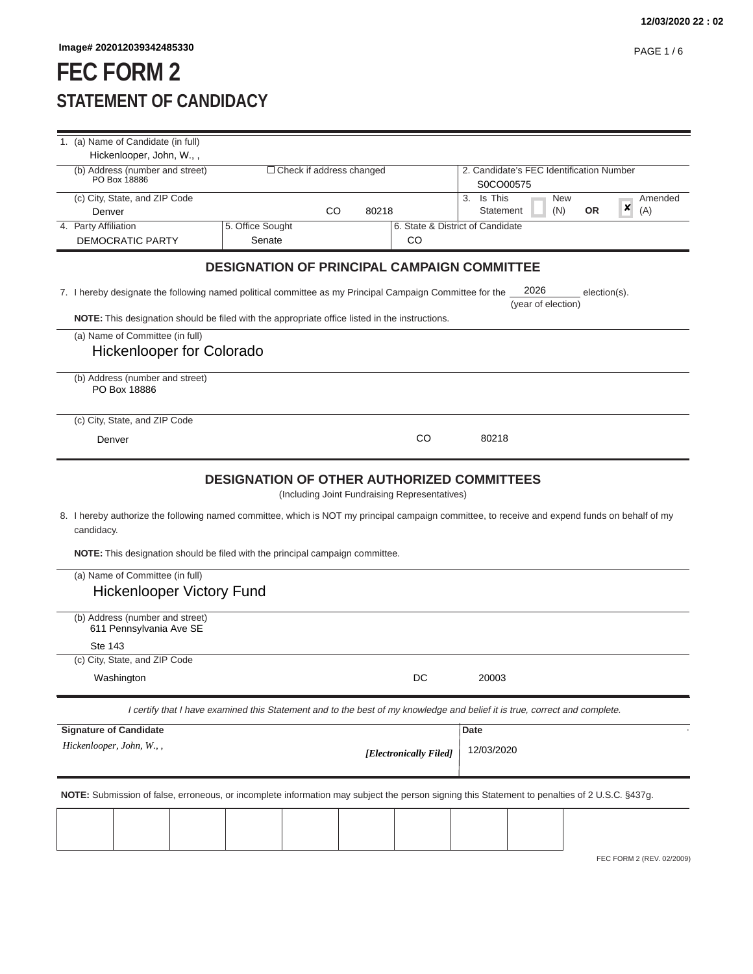# **FEC FORM 2 STATEMENT OF CANDIDACY**

| 1. (a) Name of Candidate (in full)                                                                                                                                                                                                            |                                                                                                                            |       |                                               |               |                                          |                  |   |                           |
|-----------------------------------------------------------------------------------------------------------------------------------------------------------------------------------------------------------------------------------------------|----------------------------------------------------------------------------------------------------------------------------|-------|-----------------------------------------------|---------------|------------------------------------------|------------------|---|---------------------------|
| Hickenlooper, John, W.,,<br>(b) Address (number and street)                                                                                                                                                                                   | $\Box$ Check if address changed                                                                                            |       |                                               |               | 2. Candidate's FEC Identification Number |                  |   |                           |
| PO Box 18886                                                                                                                                                                                                                                  |                                                                                                                            |       |                                               | S0CO00575     |                                          |                  |   |                           |
| (c) City, State, and ZIP Code                                                                                                                                                                                                                 |                                                                                                                            |       |                                               | Is This<br>3. |                                          | <b>New</b>       | × | Amended                   |
| Denver                                                                                                                                                                                                                                        | CO                                                                                                                         | 80218 |                                               | Statement     |                                          | (N)<br><b>OR</b> |   | (A)                       |
| 4. Party Affiliation<br><b>DEMOCRATIC PARTY</b>                                                                                                                                                                                               | 5. Office Sought<br>Senate                                                                                                 |       | 6. State & District of Candidate<br>CO        |               |                                          |                  |   |                           |
|                                                                                                                                                                                                                                               |                                                                                                                            |       |                                               |               |                                          |                  |   |                           |
|                                                                                                                                                                                                                                               | <b>DESIGNATION OF PRINCIPAL CAMPAIGN COMMITTEE</b>                                                                         |       |                                               |               |                                          |                  |   |                           |
| 7. I hereby designate the following named political committee as my Principal Campaign Committee for the                                                                                                                                      |                                                                                                                            |       |                                               |               | 2026<br>(year of election)               | election(s).     |   |                           |
| NOTE: This designation should be filed with the appropriate office listed in the instructions.                                                                                                                                                |                                                                                                                            |       |                                               |               |                                          |                  |   |                           |
| (a) Name of Committee (in full)                                                                                                                                                                                                               |                                                                                                                            |       |                                               |               |                                          |                  |   |                           |
| <b>Hickenlooper for Colorado</b>                                                                                                                                                                                                              |                                                                                                                            |       |                                               |               |                                          |                  |   |                           |
| (b) Address (number and street)<br>PO Box 18886                                                                                                                                                                                               |                                                                                                                            |       |                                               |               |                                          |                  |   |                           |
| (c) City, State, and ZIP Code                                                                                                                                                                                                                 |                                                                                                                            |       |                                               |               |                                          |                  |   |                           |
| Denver                                                                                                                                                                                                                                        |                                                                                                                            |       | CO                                            | 80218         |                                          |                  |   |                           |
|                                                                                                                                                                                                                                               |                                                                                                                            |       |                                               |               |                                          |                  |   |                           |
| 8. I hereby authorize the following named committee, which is NOT my principal campaign committee, to receive and expend funds on behalf of my<br>candidacy.<br>NOTE: This designation should be filed with the principal campaign committee. | <b>DESIGNATION OF OTHER AUTHORIZED COMMITTEES</b>                                                                          |       | (Including Joint Fundraising Representatives) |               |                                          |                  |   |                           |
| (a) Name of Committee (in full)<br><b>Hickenlooper Victory Fund</b>                                                                                                                                                                           |                                                                                                                            |       |                                               |               |                                          |                  |   |                           |
| (b) Address (number and street)<br>611 Pennsylvania Ave SE                                                                                                                                                                                    |                                                                                                                            |       |                                               |               |                                          |                  |   |                           |
| Ste 143                                                                                                                                                                                                                                       |                                                                                                                            |       |                                               |               |                                          |                  |   |                           |
| (c) City, State, and ZIP Code                                                                                                                                                                                                                 |                                                                                                                            |       |                                               |               |                                          |                  |   |                           |
| Washington                                                                                                                                                                                                                                    |                                                                                                                            |       | DC                                            | 20003         |                                          |                  |   |                           |
|                                                                                                                                                                                                                                               | I certify that I have examined this Statement and to the best of my knowledge and belief it is true, correct and complete. |       |                                               |               |                                          |                  |   |                           |
| <b>Signature of Candidate</b>                                                                                                                                                                                                                 |                                                                                                                            |       |                                               | <b>Date</b>   |                                          |                  |   |                           |
| Hickenlooper, John, W.,,                                                                                                                                                                                                                      |                                                                                                                            |       | [Electronically Filed]                        | 12/03/2020    |                                          |                  |   |                           |
| NOTE: Submission of false, erroneous, or incomplete information may subject the person signing this Statement to penalties of 2 U.S.C. §437g.                                                                                                 |                                                                                                                            |       |                                               |               |                                          |                  |   |                           |
|                                                                                                                                                                                                                                               |                                                                                                                            |       |                                               |               |                                          |                  |   |                           |
|                                                                                                                                                                                                                                               |                                                                                                                            |       |                                               |               |                                          |                  |   |                           |
|                                                                                                                                                                                                                                               |                                                                                                                            |       |                                               |               |                                          |                  |   | FEC FORM 2 (REV. 02/2009) |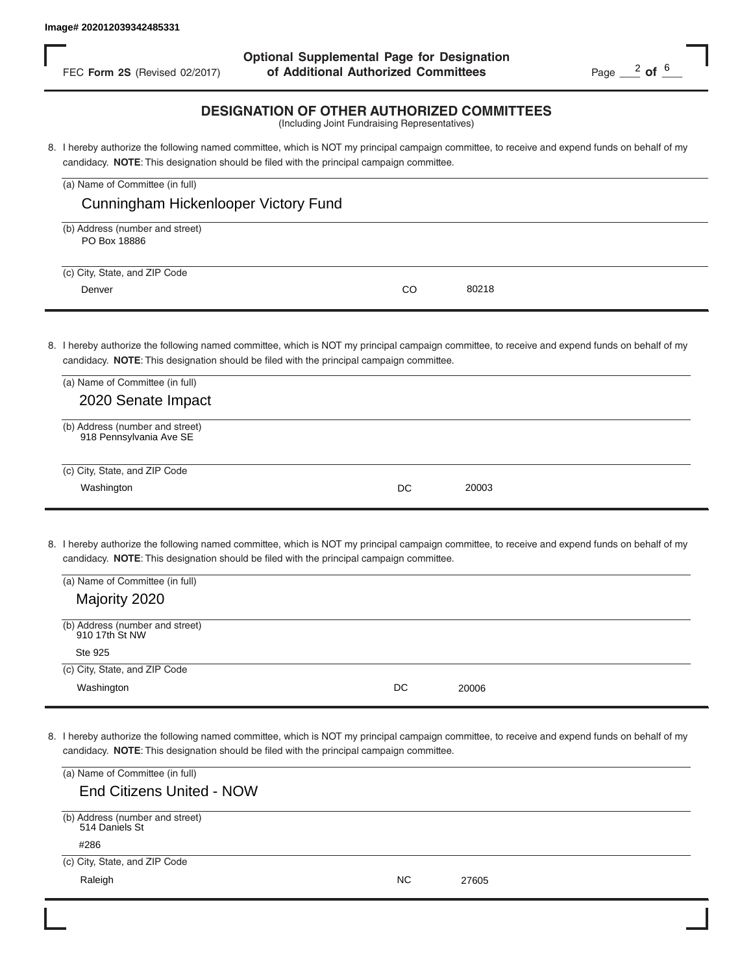FEC **Form 2S** (Revised 02/2017) **of Additional Authorized Committees** Page 2 of  $\frac{6}{5}$ **Optional Supplemental Page for Designation**

#### **DESIGNATION OF OTHER AUTHORIZED COMMITTEES**

| FEC Form 2S (Revised 02/2017)                              | of Additional Authorized Committees                                                                                                                                                                                                        | Page $\frac{2}{10}$ of $\frac{6}{10}$ |
|------------------------------------------------------------|--------------------------------------------------------------------------------------------------------------------------------------------------------------------------------------------------------------------------------------------|---------------------------------------|
|                                                            | <b>DESIGNATION OF OTHER AUTHORIZED COMMITTEES</b><br>(Including Joint Fundraising Representatives)                                                                                                                                         |                                       |
|                                                            | 8. I hereby authorize the following named committee, which is NOT my principal campaign committee, to receive and expend funds on behalf of my<br>candidacy. NOTE: This designation should be filed with the principal campaign committee. |                                       |
| (a) Name of Committee (in full)                            |                                                                                                                                                                                                                                            |                                       |
| Cunningham Hickenlooper Victory Fund                       |                                                                                                                                                                                                                                            |                                       |
| (b) Address (number and street)<br>PO Box 18886            |                                                                                                                                                                                                                                            |                                       |
| (c) City, State, and ZIP Code                              |                                                                                                                                                                                                                                            |                                       |
| Denver                                                     | CO<br>80218                                                                                                                                                                                                                                |                                       |
|                                                            |                                                                                                                                                                                                                                            |                                       |
|                                                            | 8. I hereby authorize the following named committee, which is NOT my principal campaign committee, to receive and expend funds on behalf of my<br>candidacy. NOTE: This designation should be filed with the principal campaign committee. |                                       |
| (a) Name of Committee (in full)                            |                                                                                                                                                                                                                                            |                                       |
| 2020 Senate Impact                                         |                                                                                                                                                                                                                                            |                                       |
| (b) Address (number and street)<br>918 Pennsylvania Ave SE |                                                                                                                                                                                                                                            |                                       |
| (c) City, State, and ZIP Code                              |                                                                                                                                                                                                                                            |                                       |
| Washington                                                 | 20003<br>DC                                                                                                                                                                                                                                |                                       |
|                                                            |                                                                                                                                                                                                                                            |                                       |
|                                                            | 8. I hereby authorize the following named committee, which is NOT my principal campaign committee, to receive and expend funds on behalf of my<br>candidacy. NOTE: This designation should be filed with the principal campaign committee. |                                       |
| (a) Name of Committee (in full)                            |                                                                                                                                                                                                                                            |                                       |
| Majority 2020                                              |                                                                                                                                                                                                                                            |                                       |
| (b) Address (number and street)<br>910 17th St NW          |                                                                                                                                                                                                                                            |                                       |
| Ste 925                                                    |                                                                                                                                                                                                                                            |                                       |
| (c) City, State, and ZIP Code                              |                                                                                                                                                                                                                                            |                                       |
| Washington                                                 | DC<br>20006                                                                                                                                                                                                                                |                                       |
|                                                            |                                                                                                                                                                                                                                            |                                       |
|                                                            | 8. I hereby authorize the following named committee, which is NOT my principal campaign committee, to receive and expend funds on behalf of my<br>candidacy. NOTE: This designation should be filed with the principal campaign committee. |                                       |
| (a) Name of Committee (in full)                            |                                                                                                                                                                                                                                            |                                       |
| <b>End Citizens United - NOW</b>                           |                                                                                                                                                                                                                                            |                                       |
| (b) Address (number and street)<br>514 Daniels St          |                                                                                                                                                                                                                                            |                                       |
| #286<br>(c) City, State, and ZIP Code                      |                                                                                                                                                                                                                                            |                                       |
| Raleigh                                                    | <b>NC</b><br>27605                                                                                                                                                                                                                         |                                       |

| (a) Name of Committee (in full)                            |    |       |  |
|------------------------------------------------------------|----|-------|--|
| 2020 Senate Impact                                         |    |       |  |
| (b) Address (number and street)<br>918 Pennsylvania Ave SE |    |       |  |
| (c) City, State, and ZIP Code                              |    |       |  |
| Washington                                                 | DC | 20003 |  |

| (a) Name of Committee (in full)                   |    |       |  |
|---------------------------------------------------|----|-------|--|
| Majority 2020                                     |    |       |  |
| (b) Address (number and street)<br>910 17th St NW |    |       |  |
| Ste 925                                           |    |       |  |
| (c) City, State, and ZIP Code                     |    |       |  |
| Washington                                        | DC | 20006 |  |

| (a) Name of Committee (in full)                   |    |       |  |
|---------------------------------------------------|----|-------|--|
| <b>End Citizens United - NOW</b>                  |    |       |  |
| (b) Address (number and street)<br>514 Daniels St |    |       |  |
| #286                                              |    |       |  |
| (c) City, State, and ZIP Code                     |    |       |  |
| Raleigh                                           | ΝC | 27605 |  |
|                                                   |    |       |  |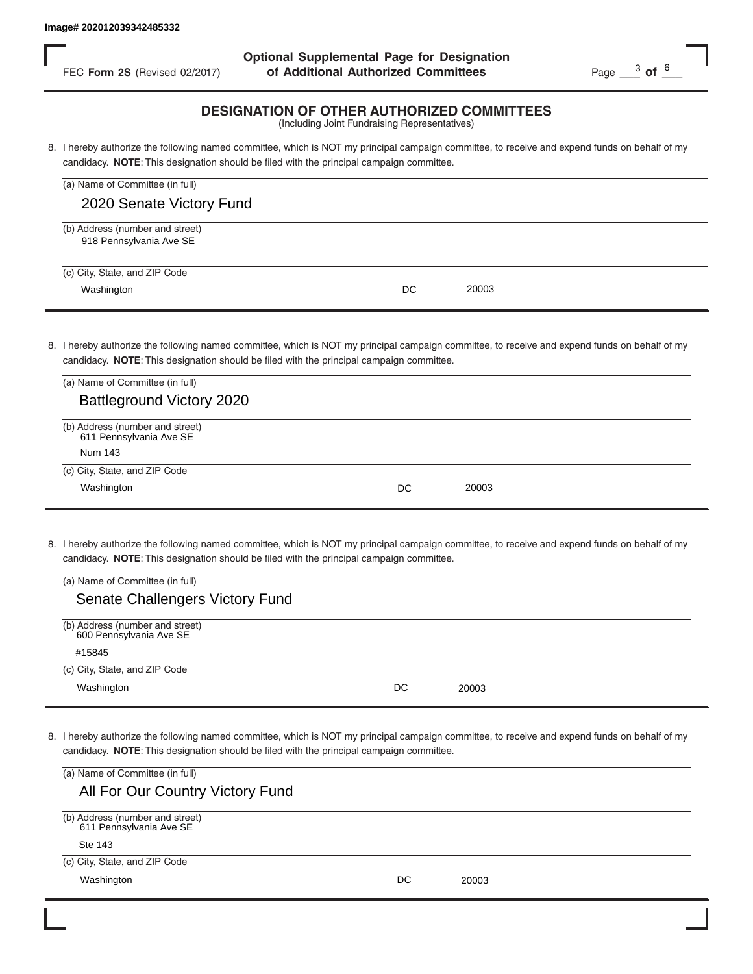FEC **Form 2S** (Revised 02/2017) **of Additional Authorized Committees** Page 23 of  $\frac{6}{5}$ **Optional Supplemental Page for Designation**

#### **DESIGNATION OF OTHER AUTHORIZED COMMITTEES**

| FEC Form 2S (Revised 02/2017)                              | of Additional Authorized Committees                                                                                                                                                                                                        | Page $\frac{3}{5}$ of $\frac{6}{5}$ |
|------------------------------------------------------------|--------------------------------------------------------------------------------------------------------------------------------------------------------------------------------------------------------------------------------------------|-------------------------------------|
|                                                            | <b>DESIGNATION OF OTHER AUTHORIZED COMMITTEES</b><br>(Including Joint Fundraising Representatives)                                                                                                                                         |                                     |
|                                                            | 8. I hereby authorize the following named committee, which is NOT my principal campaign committee, to receive and expend funds on behalf of my<br>candidacy. NOTE: This designation should be filed with the principal campaign committee. |                                     |
| (a) Name of Committee (in full)                            |                                                                                                                                                                                                                                            |                                     |
| 2020 Senate Victory Fund                                   |                                                                                                                                                                                                                                            |                                     |
| (b) Address (number and street)<br>918 Pennsylvania Ave SE |                                                                                                                                                                                                                                            |                                     |
| (c) City, State, and ZIP Code                              |                                                                                                                                                                                                                                            |                                     |
| Washington                                                 | DC<br>20003                                                                                                                                                                                                                                |                                     |
|                                                            |                                                                                                                                                                                                                                            |                                     |
|                                                            | 8. I hereby authorize the following named committee, which is NOT my principal campaign committee, to receive and expend funds on behalf of my<br>candidacy. NOTE: This designation should be filed with the principal campaign committee. |                                     |
| (a) Name of Committee (in full)                            |                                                                                                                                                                                                                                            |                                     |
| <b>Battleground Victory 2020</b>                           |                                                                                                                                                                                                                                            |                                     |
| (b) Address (number and street)<br>611 Pennsylvania Ave SE |                                                                                                                                                                                                                                            |                                     |
| Num 143                                                    |                                                                                                                                                                                                                                            |                                     |
| (c) City, State, and ZIP Code                              |                                                                                                                                                                                                                                            |                                     |
| Washington                                                 | 20003<br>DC                                                                                                                                                                                                                                |                                     |
|                                                            |                                                                                                                                                                                                                                            |                                     |
|                                                            | 8. I hereby authorize the following named committee, which is NOT my principal campaign committee, to receive and expend funds on behalf of my<br>candidacy. NOTE: This designation should be filed with the principal campaign committee. |                                     |
| (a) Name of Committee (in full)                            |                                                                                                                                                                                                                                            |                                     |
| Senate Challengers Victory Fund                            |                                                                                                                                                                                                                                            |                                     |
| (b) Address (number and street)<br>600 Pennsylvania Ave SE |                                                                                                                                                                                                                                            |                                     |
| #15845                                                     |                                                                                                                                                                                                                                            |                                     |
| (c) City, State, and ZIP Code                              |                                                                                                                                                                                                                                            |                                     |
| Washington                                                 | DC<br>20003                                                                                                                                                                                                                                |                                     |
|                                                            |                                                                                                                                                                                                                                            |                                     |
|                                                            | 8. I hereby authorize the following named committee, which is NOT my principal campaign committee, to receive and expend funds on behalf of my<br>candidacy. NOTE: This designation should be filed with the principal campaign committee. |                                     |
| (a) Name of Committee (in full)                            |                                                                                                                                                                                                                                            |                                     |
| All For Our Country Victory Fund                           |                                                                                                                                                                                                                                            |                                     |
| (b) Address (number and street)<br>611 Pennsylvania Ave SE |                                                                                                                                                                                                                                            |                                     |
| <b>Ste 143</b>                                             |                                                                                                                                                                                                                                            |                                     |
| (c) City, State, and ZIP Code                              |                                                                                                                                                                                                                                            |                                     |
| Washington                                                 | 20003<br>DC                                                                                                                                                                                                                                |                                     |

| (a) Name of Committee (in full)                            |    |       |  |
|------------------------------------------------------------|----|-------|--|
| Battleground Victory 2020                                  |    |       |  |
| (b) Address (number and street)<br>611 Pennsylvania Ave SE |    |       |  |
| Num 143                                                    |    |       |  |
| (c) City, State, and ZIP Code                              |    |       |  |
| Washington                                                 | DC | 20003 |  |
|                                                            |    |       |  |

| (a) Name of Committee (in full)   |    |       |  |
|-----------------------------------|----|-------|--|
| Senate Challengers Victory Fund   |    |       |  |
| (b) Address (number and street)   |    |       |  |
| 600 Pennsylvania Ave SE<br>#15845 |    |       |  |
| (c) City, State, and ZIP Code     |    |       |  |
| Washington                        | DC | 20003 |  |
|                                   |    |       |  |

| All For Our Country Victory Fund                           |    |       |  |
|------------------------------------------------------------|----|-------|--|
| (b) Address (number and street)<br>611 Pennsylvania Ave SE |    |       |  |
| Ste 143                                                    |    |       |  |
| (c) City, State, and ZIP Code                              |    |       |  |
| Washington                                                 | DC | 20003 |  |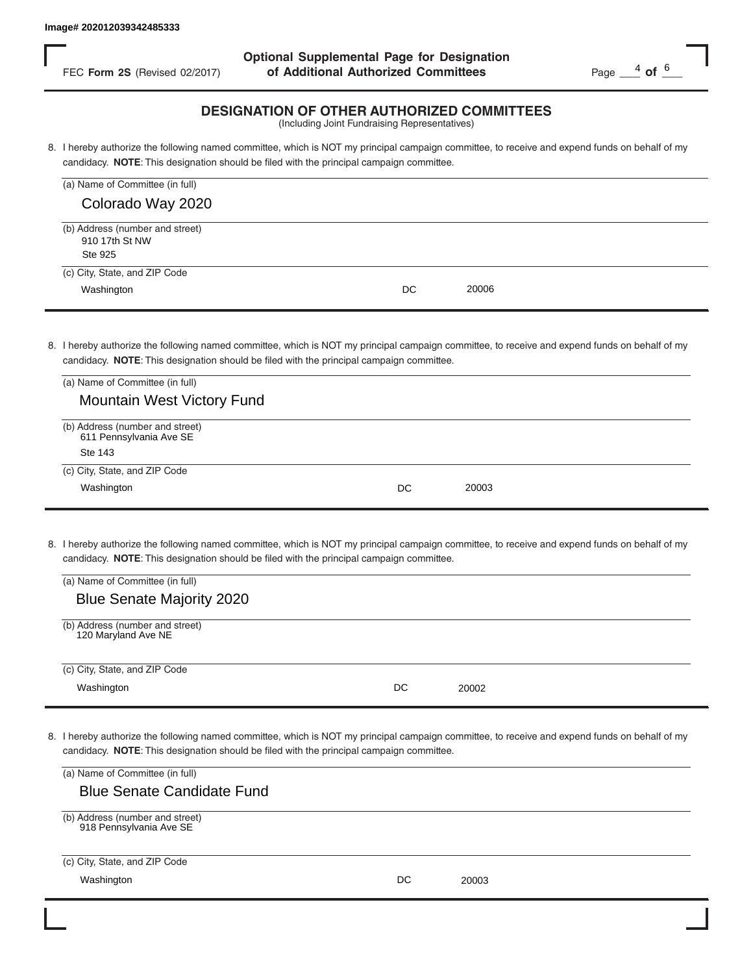FEC **Form 2S** (Revised 02/2017) **of Additional Authorized Committees** Page  $\frac{4}{5}$  of  $\frac{6}{5}$ **Optional Supplemental Page for Designation**

#### **DESIGNATION OF OTHER AUTHORIZED COMMITTEES**

| FEC Form 2S (Revised 02/2017)                                                                                                      | of Additional Authorized Committees                                                                                                                                                                                                        | Page $\frac{4}{100}$ of $\frac{6}{100}$ |
|------------------------------------------------------------------------------------------------------------------------------------|--------------------------------------------------------------------------------------------------------------------------------------------------------------------------------------------------------------------------------------------|-----------------------------------------|
|                                                                                                                                    | <b>DESIGNATION OF OTHER AUTHORIZED COMMITTEES</b><br>(Including Joint Fundraising Representatives)                                                                                                                                         |                                         |
|                                                                                                                                    | 8. I hereby authorize the following named committee, which is NOT my principal campaign committee, to receive and expend funds on behalf of my<br>candidacy. NOTE: This designation should be filed with the principal campaign committee. |                                         |
| (a) Name of Committee (in full)                                                                                                    |                                                                                                                                                                                                                                            |                                         |
| Colorado Way 2020                                                                                                                  |                                                                                                                                                                                                                                            |                                         |
| (b) Address (number and street)<br>910 17th St NW<br>Ste 925                                                                       |                                                                                                                                                                                                                                            |                                         |
| (c) City, State, and ZIP Code                                                                                                      |                                                                                                                                                                                                                                            |                                         |
| Washington                                                                                                                         | DC<br>20006                                                                                                                                                                                                                                |                                         |
| (a) Name of Committee (in full)<br><b>Mountain West Victory Fund</b>                                                               | 8. I hereby authorize the following named committee, which is NOT my principal campaign committee, to receive and expend funds on behalf of my<br>candidacy. NOTE: This designation should be filed with the principal campaign committee. |                                         |
| (b) Address (number and street)<br>611 Pennsylvania Ave SE<br><b>Ste 143</b>                                                       |                                                                                                                                                                                                                                            |                                         |
| (c) City, State, and ZIP Code<br>Washington                                                                                        | 20003<br>DC                                                                                                                                                                                                                                |                                         |
| (a) Name of Committee (in full)<br><b>Blue Senate Majority 2020</b>                                                                | 8. I hereby authorize the following named committee, which is NOT my principal campaign committee, to receive and expend funds on behalf of my<br>candidacy. NOTE: This designation should be filed with the principal campaign committee. |                                         |
| (b) Address (number and street)<br>120 Maryland Ave NE                                                                             |                                                                                                                                                                                                                                            |                                         |
| (c) City, State, and ZIP Code                                                                                                      |                                                                                                                                                                                                                                            |                                         |
| Washington                                                                                                                         | DC<br>20002                                                                                                                                                                                                                                |                                         |
| (a) Name of Committee (in full)<br><b>Blue Senate Candidate Fund</b><br>(b) Address (number and street)<br>918 Pennsylvania Ave SE | 8. I hereby authorize the following named committee, which is NOT my principal campaign committee, to receive and expend funds on behalf of my<br>candidacy. NOTE: This designation should be filed with the principal campaign committee. |                                         |
| (c) City, State, and ZIP Code                                                                                                      |                                                                                                                                                                                                                                            |                                         |
| Washington                                                                                                                         | 20003<br>DC                                                                                                                                                                                                                                |                                         |

| (a) Name of Committee (in full)                            |    |       |  |
|------------------------------------------------------------|----|-------|--|
| <b>Mountain West Victory Fund</b>                          |    |       |  |
| (b) Address (number and street)<br>611 Pennsylvania Ave SE |    |       |  |
| Ste 143                                                    |    |       |  |
| (c) City, State, and ZIP Code                              |    |       |  |
| Washington                                                 | DC | 20003 |  |
|                                                            |    |       |  |

| (a) Name of Committee (in full)                        |    |       |  |
|--------------------------------------------------------|----|-------|--|
| <b>Blue Senate Majority 2020</b>                       |    |       |  |
|                                                        |    |       |  |
| (b) Address (number and street)<br>120 Maryland Ave NE |    |       |  |
|                                                        |    |       |  |
| (c) City, State, and ZIP Code                          |    |       |  |
| Washington                                             | DC | 20002 |  |
|                                                        |    |       |  |

| (a) Name of Committee (in full)                            |    |       |  |
|------------------------------------------------------------|----|-------|--|
| <b>Blue Senate Candidate Fund</b>                          |    |       |  |
| (b) Address (number and street)<br>918 Pennsylvania Ave SE |    |       |  |
| (c) City, State, and ZIP Code                              |    |       |  |
| Washington                                                 | DC | 20003 |  |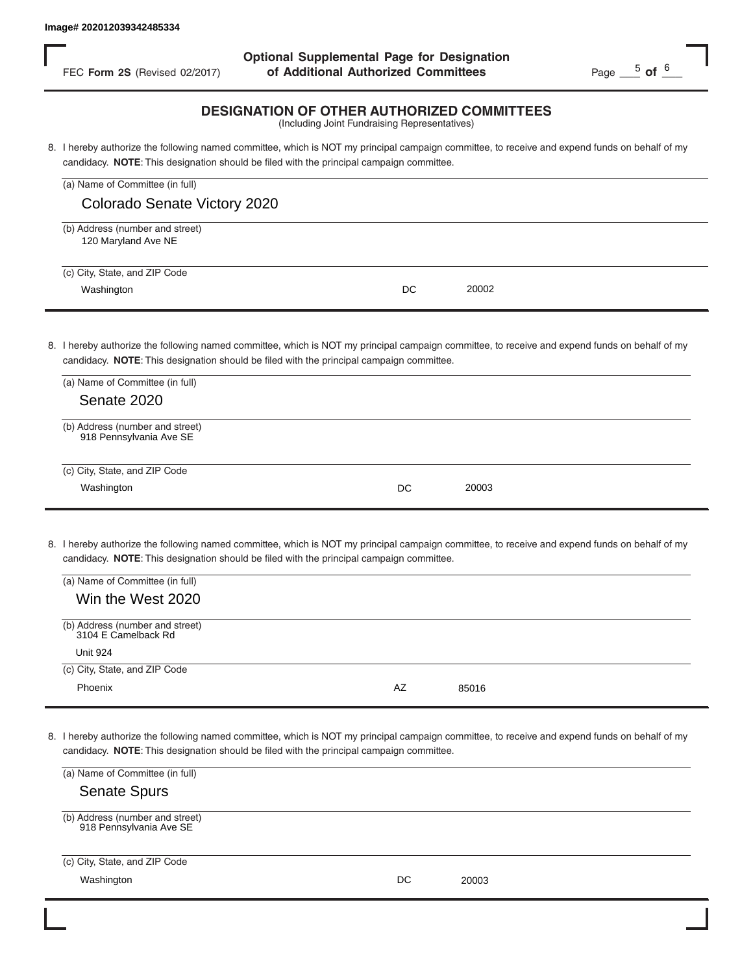FEC **Form 2S** (Revised 02/2017) **of Additional Authorized Committees** Page Page Portes **Optional Supplemental Page for Designation**

## **DESIGNATION OF OTHER AUTHORIZED COMMITTEES**

| (a) Name of Committee (in full)                        |    |       |  |
|--------------------------------------------------------|----|-------|--|
| Colorado Senate Victory 2020                           |    |       |  |
| (b) Address (number and street)<br>120 Maryland Ave NE |    |       |  |
| (c) City, State, and ZIP Code<br>Washington            | DC | 20002 |  |

| FEC Form 2S (Revised 02/2017)                              | of Additional Authorized Committees                                                                                                                                                                                                        | Page $-$ 5 of $-$ |
|------------------------------------------------------------|--------------------------------------------------------------------------------------------------------------------------------------------------------------------------------------------------------------------------------------------|-------------------|
|                                                            | <b>DESIGNATION OF OTHER AUTHORIZED COMMITTEES</b><br>(Including Joint Fundraising Representatives)                                                                                                                                         |                   |
|                                                            | 8. I hereby authorize the following named committee, which is NOT my principal campaign committee, to receive and expend funds on behalf of my<br>candidacy. NOTE: This designation should be filed with the principal campaign committee. |                   |
| (a) Name of Committee (in full)                            |                                                                                                                                                                                                                                            |                   |
| Colorado Senate Victory 2020                               |                                                                                                                                                                                                                                            |                   |
| (b) Address (number and street)<br>120 Maryland Ave NE     |                                                                                                                                                                                                                                            |                   |
| (c) City, State, and ZIP Code                              |                                                                                                                                                                                                                                            |                   |
| Washington                                                 | DC<br>20002                                                                                                                                                                                                                                |                   |
|                                                            |                                                                                                                                                                                                                                            |                   |
|                                                            | 8. I hereby authorize the following named committee, which is NOT my principal campaign committee, to receive and expend funds on behalf of my<br>candidacy. NOTE: This designation should be filed with the principal campaign committee. |                   |
| (a) Name of Committee (in full)                            |                                                                                                                                                                                                                                            |                   |
| Senate 2020                                                |                                                                                                                                                                                                                                            |                   |
| (b) Address (number and street)<br>918 Pennsylvania Ave SE |                                                                                                                                                                                                                                            |                   |
| (c) City, State, and ZIP Code                              |                                                                                                                                                                                                                                            |                   |
| Washington                                                 | 20003<br>DC                                                                                                                                                                                                                                |                   |
|                                                            |                                                                                                                                                                                                                                            |                   |
|                                                            | 8. I hereby authorize the following named committee, which is NOT my principal campaign committee, to receive and expend funds on behalf of my<br>candidacy. NOTE: This designation should be filed with the principal campaign committee. |                   |
| (a) Name of Committee (in full)                            |                                                                                                                                                                                                                                            |                   |
| Win the West 2020                                          |                                                                                                                                                                                                                                            |                   |
| (b) Address (number and street)<br>3104 E Camelback Rd     |                                                                                                                                                                                                                                            |                   |
| <b>Unit 924</b>                                            |                                                                                                                                                                                                                                            |                   |
| (c) City, State, and ZIP Code                              |                                                                                                                                                                                                                                            |                   |
| Phoenix                                                    | AZ<br>85016                                                                                                                                                                                                                                |                   |
|                                                            |                                                                                                                                                                                                                                            |                   |
|                                                            | 8. I hereby authorize the following named committee, which is NOT my principal campaign committee, to receive and expend funds on behalf of my<br>candidacy. NOTE: This designation should be filed with the principal campaign committee. |                   |
| (a) Name of Committee (in full)                            |                                                                                                                                                                                                                                            |                   |
| <b>Senate Spurs</b>                                        |                                                                                                                                                                                                                                            |                   |
| (b) Address (number and street)<br>918 Pennsylvania Ave SE |                                                                                                                                                                                                                                            |                   |
| (c) City, State, and ZIP Code                              |                                                                                                                                                                                                                                            |                   |
| Washington                                                 | DC<br>20003                                                                                                                                                                                                                                |                   |

| (a) Name of Committee (in full)                        |    |       |
|--------------------------------------------------------|----|-------|
| Win the West 2020                                      |    |       |
| (b) Address (number and street)<br>3104 E Camelback Rd |    |       |
| <b>Unit 924</b>                                        |    |       |
| (c) City, State, and ZIP Code                          |    |       |
| Phoenix                                                | AZ | 85016 |

| (a) Name of Committee (in full)                            |    |       |  |
|------------------------------------------------------------|----|-------|--|
| <b>Senate Spurs</b>                                        |    |       |  |
| (b) Address (number and street)<br>918 Pennsylvania Ave SE |    |       |  |
| (c) City, State, and ZIP Code                              |    |       |  |
| Washington                                                 | DC | 20003 |  |